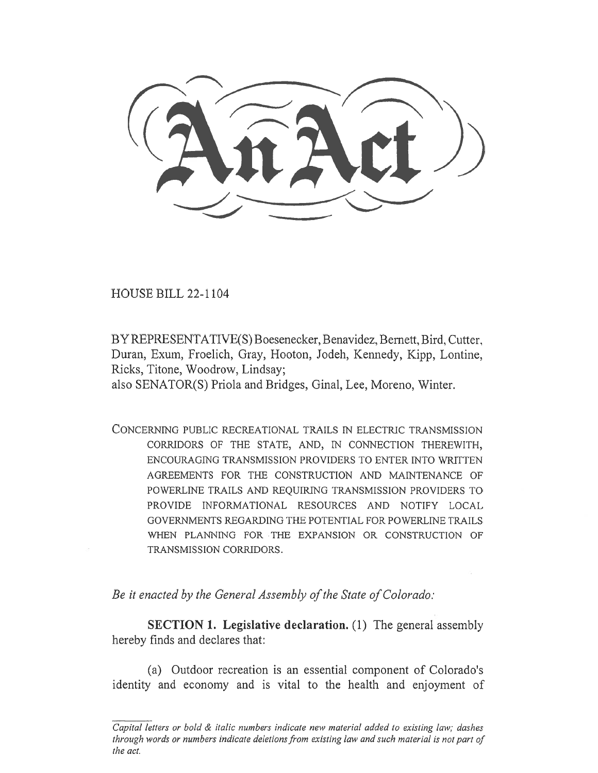HOUSE BILL 22-1104

BY REPRESENTATIVE(S) Boesenecker, Benavidez, Bernett, Bird, Cutter, Duran, Exum, Froelich, Gray, Hooton, Jodeh, Kennedy, Kipp, Lontine, Ricks, Titone, Woodrow, Lindsay;

also SENATOR(S) Priola and Bridges, Ginal, Lee, Moreno, Winter.

CONCERNING PUBLIC RECREATIONAL TRAILS IN ELECTRIC TRANSMISSION CORRIDORS OF THE STATE, AND, IN CONNECTION THEREWITH, ENCOURAGING TRANSMISSION PROVIDERS TO ENTER INTO WRITTEN AGREEMENTS FOR THE CONSTRUCTION AND MAINTENANCE OF POWERLINE TRAILS AND REQUIRING TRANSMISSION PROVIDERS TO PROVIDE INFORMATIONAL RESOURCES AND NOTIFY LOCAL GOVERNMENTS REGARDING THE POTENTIAL FOR POWERLINE TRAILS WHEN PLANNING FOR THE EXPANSION OR CONSTRUCTION OF TRANSMISSION CORRIDORS.

Be it enacted by the General Assembly of the State of Colorado:

SECTION 1. Legislative declaration. (1) The general assembly hereby finds and declares that:

(a) Outdoor recreation is an essential component of Colorado's identity and economy and is vital to the health and enjoyment of

Capital letters or bold & italic numbers indicate new material added to existing law; dashes through words or numbers indicate deletions from existing law and such material is not part of the act.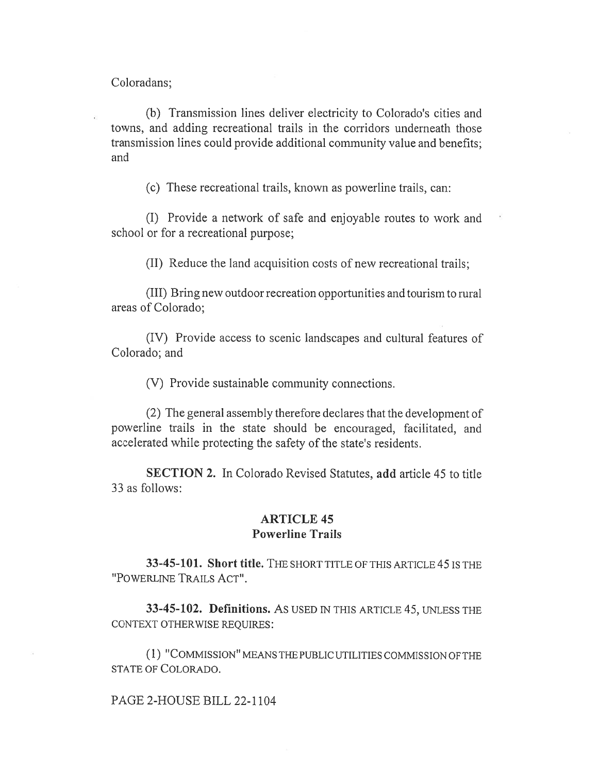Coloradans;

(b) Transmission lines deliver electricity to Colorado's cities and towns, and adding recreational trails in the corridors underneath those transmission lines could provide additional community value and benefits; and

(c) These recreational trails, known as powerline trails, can:

(I) Provide a network of safe and enjoyable routes to work and school or for a recreational purpose;

(II) Reduce the land acquisition costs of new recreational trails;

(III) Bring new outdoor recreation opportunities and tourism to rural areas of Colorado;

(IV) Provide access to scenic landscapes and cultural features of Colorado; and

(V) Provide sustainable community connections.

(2) The general assembly therefore declares that the development of powerline trails in the state should be encouraged, facilitated, and accelerated while protecting the safety of the state's residents.

SECTION 2. In Colorado Revised Statutes, add article 45 to title 33 as follows:

## ARTICLE 45 Powerline Trails

33-45-101. Short title. THE SHORT TITLE OF THIS ARTICLE 45 IS THE "POWERLINE TRAILS ACT".

33-45-102. Definitions. AS USED IN THIS ARTICLE 45, UNLESS THE CONTEXT OTHERWISE REQUIRES:

(1) "COMMISSION" MEANS THE PUBLIC UTILITIES COMMISSION OF THE STATE OF COLORADO.

PAGE 2-HOUSE BILL 22-1104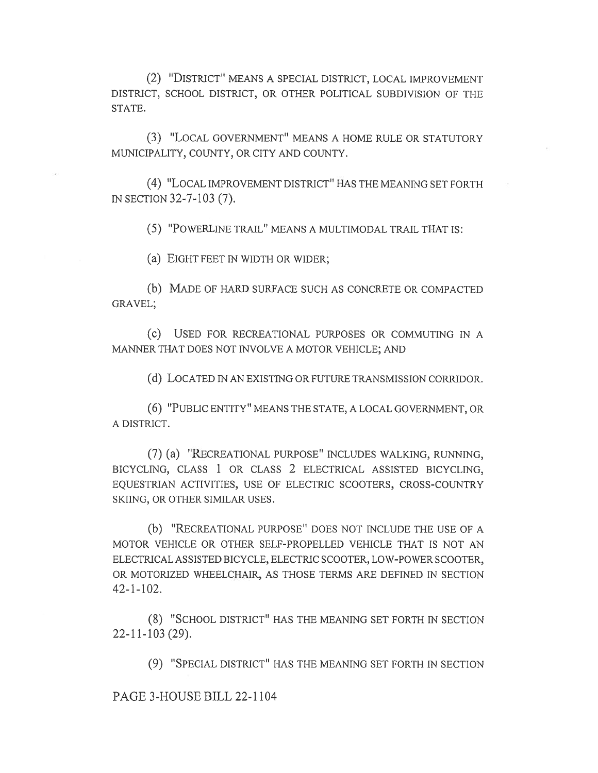(2) "DISTRICT" MEANS A SPECIAL DISTRICT, LOCAL IMPROVEMENT DISTRICT, SCHOOL DISTRICT, OR OTHER POLITICAL SUBDIVISION OF THE STATE.

(3) "LOCAL GOVERNMENT" MEANS A HOME RULE OR STATUTORY MUNICIPALITY, COUNTY, OR CITY AND COUNTY.

(4) "LOCAL IMPROVEMENT DISTRICT" HAS THE MEANING SET FORTH IN SECTION 32-7-103 (7).

(5) "POWERLINE TRAIL" MEANS A MULTIMODAL TRAIL THAT IS:

(a) EIGHT FEET IN WIDTH OR WIDER;

(b) MADE OF HARD SURFACE SUCH AS CONCRETE OR COMPACTED GRAVEL;

(C) USED FOR RECREATIONAL PURPOSES OR COMMUTING IN A MANNER THAT DOES NOT INVOLVE A MOTOR VEHICLE; AND

(d) LOCATED IN AN EXISTING OR FUTURE TRANSMISSION CORRIDOR.

(6) "PUBLIC ENTITY" MEANS THE STATE, A LOCAL GOVERNMENT, OR A DISTRICT.

(7) (a) "RECREATIONAL PURPOSE" INCLUDES WALKING, RUNNING, BICYCLING, CLASS 1 OR CLASS 2 ELECTRICAL ASSISTED BICYCLING, EQUESTRIAN ACTIVITIES, USE OF ELECTRIC SCOOTERS, CROSS-COUNTRY SKIING, OR OTHER SIMILAR USES.

(b) "RECREATIONAL PURPOSE" DOES NOT INCLUDE THE USE OF A MOTOR VEHICLE OR OTHER SELF-PROPELLED VEHICLE THAT IS NOT AN ELECTRICAL ASSISTED BICYCLE, ELECTRIC SCOOTER, LOW-POWER SCOOTER, OR MOTORIZED WHEELCHAIR, AS THOSE TERMS ARE DEFINED IN SECTION 42-1-102.

(8) "SCHOOL DISTRICT" HAS THE MEANING SET FORTH IN SECTION 22-11-103 (29).

(9) "SPECIAL DISTRICT" HAS THE MEANING SET FORTH IN SECTION

PAGE 3-HOUSE BILL 22-1104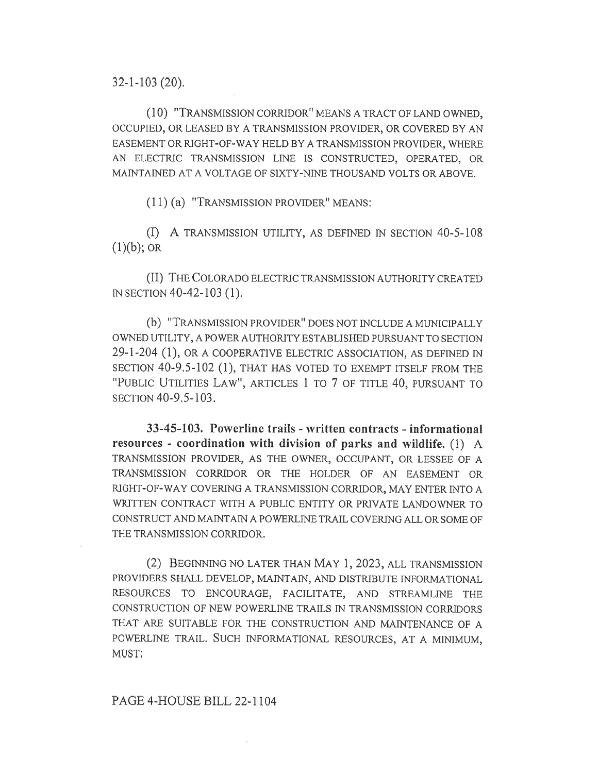32-1-103 (20).

(10) "TRANSMISSION CORRIDOR" MEANS A TRACT OF LAND OWNED, OCCUPIED, OR LEASED BY A TRANSMISSION PROVIDER, OR COVERED BY AN EASEMENT OR RIGHT-OF-WAY HELD BY A TRANSMISSION PROVIDER, WHERE AN ELECTRIC TRANSMISSION LINE IS CONSTRUCTED, OPERATED, OR MAINTAINED AT A VOLTAGE OF SIXTY-NINE THOUSAND VOLTS OR ABOVE.

(1 1) (a) "TRANSMISSION PROVIDER" MEANS:

(I) A TRANSMISSION UTILITY, AS DEFINED IN SECTION 40-5-108  $(1)(b)$ ; OR

(II) THE COLORADO ELECTRIC TRANSMISSION AUTHORITY CREATED IN SECTION 40-42-103 (1).

(b) "TRANSMISSION PROVIDER" DOES NOT INCLUDE A MUNICIPALLY OWNED UTILITY, A POWER AUTHORITY ESTABLISHED PURSUANT TO SECTION 29-1-204 (1), OR A COOPERATIVE ELECTRIC ASSOCIATION, AS DEFINED IN SECTION 40-9.5-102 (1), THAT HAS VOTED TO EXEMPT ITSELF FROM THE "PUBLIC UTILITIES LAW", ARTICLES 1 TO 7 OF TITLE 40, PURSUANT TO SECTION 40-9.5-103.

33-45-103. Powerline trails - written contracts - informational resources - coordination with division of parks and wildlife. (1) A TRANSMISSION PROVIDER, AS THE OWNER, OCCUPANT, OR LESSEE OF A TRANSMISSION CORRIDOR OR THE HOLDER OF AN EASEMENT OR RIGHT-OF-WAY COVERING A TRANSMISSION CORRIDOR, MAY ENTER INTO A WRITTEN CONTRACT WITH A PUBLIC ENTITY OR PRIVATE LANDOWNER TO CONSTRUCT AND MAINTAIN A POWERLINE TRAIL COVERING ALL OR SOME OF THE TRANSMISSION CORRIDOR.

(2) BEGINNING NO LATER THAN MAY 1, 2023, ALL TRANSMISSION PROVIDERS SHALL DEVELOP, MAINTAIN, AND DISTRIBUTE INFORMATIONAL RESOURCES TO ENCOURAGE, FACILITATE, AND STREAMLINE THE CONSTRUCTION OF NEW POWERLINE TRAILS IN TRANSMISSION CORRIDORS THAT ARE SUITABLE FOR THE CONSTRUCTION AND MAINTENANCE OF A POWERLINE TRAIL. SUCH INFORMATIONAL RESOURCES, AT A MINIMUM, MUST: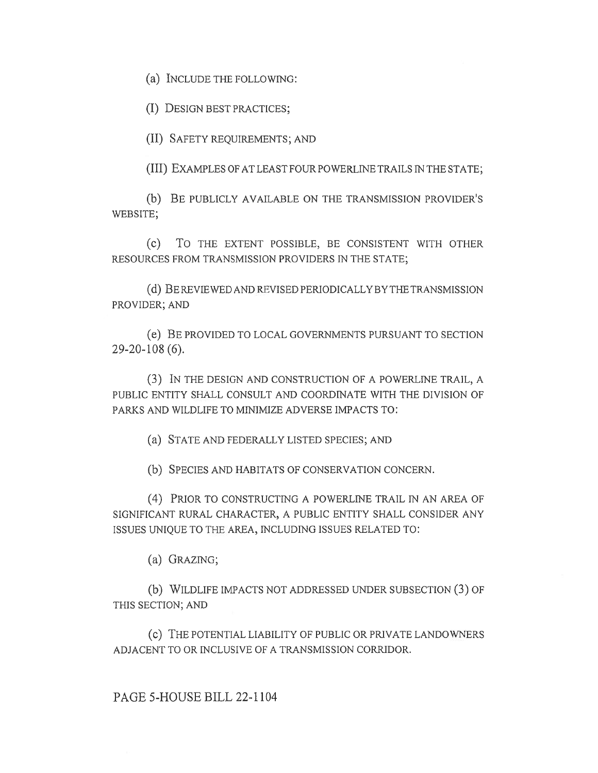(a) INCLUDE THE FOLLOWING:

(I) DESIGN BEST PRACTICES;

(II) SAFETY REQUIREMENTS; AND

(III) EXAMPLES OF AT LEAST FOUR POWERLINE TRAILS IN THE STATE;

(b) BE PUBLICLY AVAILABLE ON THE TRANSMISSION PROVIDER'S WEBSITE;

(c) To THE EXTENT POSSIBLE, BE CONSISTENT WITH OTHER RESOURCES FROM TRANSMISSION PROVIDERS IN THE STATE;

(d) BE REVIEWED AND REVISED PERIODICALLY BY THE TRANSMISSION PROVIDER; AND

(e) BE PROVIDED TO LOCAL GOVERNMENTS PURSUANT TO SECTION 29-20-108 (6).

(3) IN THE DESIGN AND CONSTRUCTION OF A POWERLINE TRAIL, A PUBLIC ENTITY SHALL CONSULT AND COORDINATE WITH THE DIVISION OF PARKS AND WILDLIFE TO MINIMIZE ADVERSE IMPACTS TO:

(a) STATE AND FEDERALLY LISTED SPECIES; AND

(b) SPECIES AND HABITATS OF CONSERVATION CONCERN.

(4) PRIOR TO CONSTRUCTING A POWERLINE TRAIL IN AN AREA OF SIGNIFICANT RURAL CHARACTER, A PUBLIC ENTITY SHALL CONSIDER ANY ISSUES UNIQUE TO THE AREA, INCLUDING ISSUES RELATED TO:

(a) GRAZING;

(b) WILDLIFE IMPACTS NOT ADDRESSED UNDER SUBSECTION (3) OF THIS SECTION; AND

(c) THE POTENTIAL LIABILITY OF PUBLIC OR PRIVATE LANDOWNERS ADJACENT TO OR INCLUSIVE OF A TRANSMISSION CORRIDOR.

## PAGE 5-HOUSE BILL 22-1104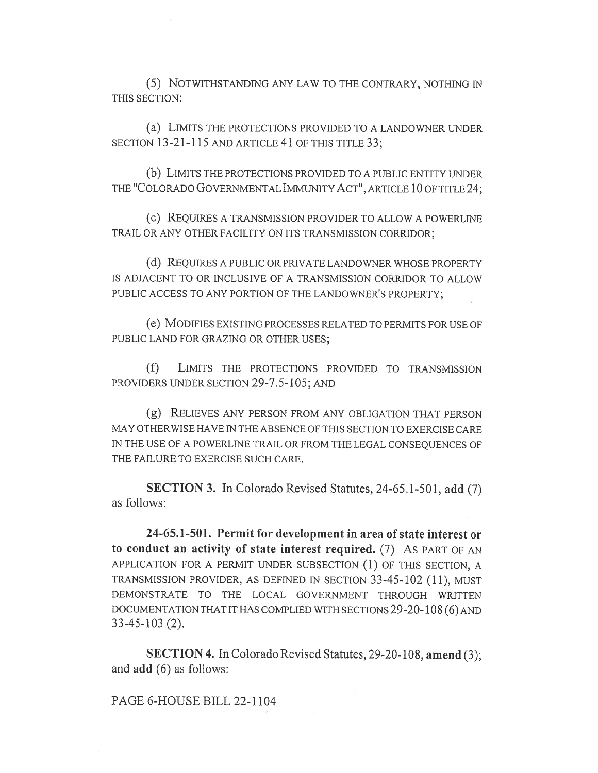(5) NOTWITHSTANDING ANY LAW TO THE CONTRARY, NOTHING IN THIS SECTION:

(a) LIMITS THE PROTECTIONS PROVIDED TO A LANDOWNER UNDER SECTION 13-21-115 AND ARTICLE 41 OF THIS TITLE 33;

(b) LIMITS THE PROTECTIONS PROVIDED TO A PUBLIC ENTITY UNDER THE "COLORADO GOVERNMENTAL IMMUNITY ACT", ARTICLE 10 OF TITLE 24;

(c) REQUIRES A TRANSMISSION PROVIDER TO ALLOW A POWERLINE TRAIL OR ANY OTHER FACILITY ON ITS TRANSMISSION CORRIDOR;

(d) REQUIRES A PUBLIC OR PRIVATE LANDOWNER WHOSE PROPERTY IS ADJACENT TO OR INCLUSIVE OF A TRANSMISSION CORRIDOR TO ALLOW PUBLIC ACCESS TO ANY PORTION OF THE LANDOWNER'S PROPERTY;

(e) MODIFIES EXISTING PROCESSES RELATED TO PERMITS FOR USE OF PUBLIC LAND FOR GRAZING OR OTHER USES;

(f) LIMITS THE PROTECTIONS PROVIDED TO TRANSMISSION PROVIDERS UNDER SECTION 29-7.5-105; AND

(g) RELIEVES ANY PERSON FROM ANY OBLIGATION THAT PERSON MAY OTHERWISE HAVE IN THE ABSENCE OF THIS SECTION TO EXERCISE CARE IN THE USE OF A POWERLINE TRAIL OR FROM THE LEGAL CONSEQUENCES OF THE FAILURE TO EXERCISE SUCH CARE.

SECTION 3. In Colorado Revised Statutes, 24-65.1-501, add (7) as follows:

24-65.1-501. Permit for development in area of state interest or to conduct an activity of state interest required. (7) AS PART OF AN APPLICATION FOR A PERMIT UNDER SUBSECTION (1) OF THIS SECTION, A TRANSMISSION PROVIDER, AS DEFINED IN SECTION 33-45-102 (11), MUST DEMONSTRATE TO THE LOCAL GOVERNMENT THROUGH WRITTEN DOCUMENTATION THAT IT HAS COMPLIED WITH SECTIONS 29-20-108 (6) AND 33-45-103 (2).

SECTION 4. In Colorado Revised Statutes, 29-20-108, amend (3); and add (6) as follows:

PAGE 6-HOUSE BILL 22-1104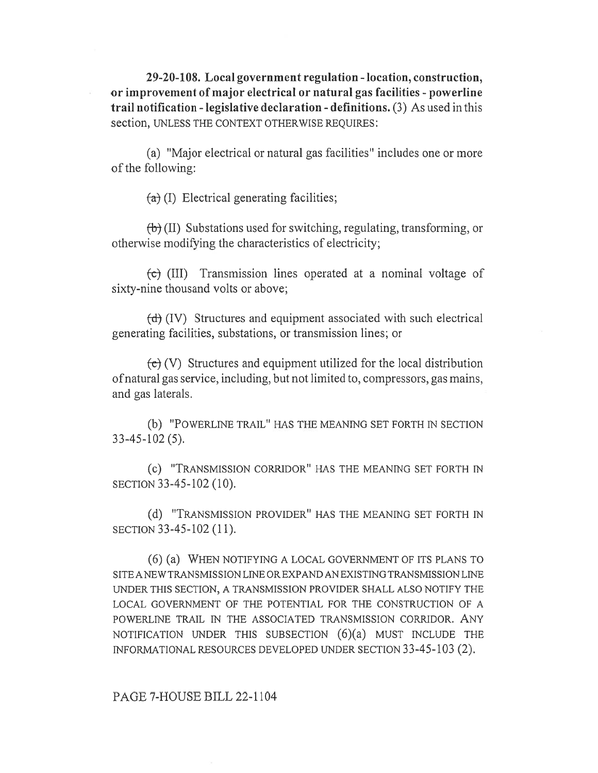29-20-108. Local government regulation - location, construction, or improvement of major electrical or natural gas facilities - powerline trail notification - legislative declaration - definitions. (3) As used in this section, UNLESS THE CONTEXT OTHERWISE REQUIRES:

(a) "Major electrical or natural gas facilities" includes one or more of the following:

 $(a)$  (I) Electrical generating facilities;

 $\langle \theta \rangle$  (II) Substations used for switching, regulating, transforming, or otherwise modifying the characteristics of electricity;

 $f$ (III) Transmission lines operated at a nominal voltage of sixty-nine thousand volts or above;

(d) (IV) Structures and equipment associated with such electrical generating facilities, substations, or transmission lines; or

 $\overline{f}$  (V) Structures and equipment utilized for the local distribution of natural gas service, including, but not limited to, compressors, gas mains, and gas laterals.

(b) "POWERLINE TRAIL" HAS THE MEANING SET FORTH IN SECTION 33-45-102 (5).

(c) "TRANSMISSION CORRIDOR" HAS THE MEANING SET FORTH IN SECTION 33-45-102 (10).

(d) "TRANSMISSION PROVIDER" HAS THE MEANING SET FORTH IN SECTION 33-45-102 (11).

(6) (a) WHEN NOTIFYING A LOCAL GOVERNMENT OF ITS PLANS TO SITE A NEW TRANSMISSION LINE OR EXPAND AN EXISTING TRANSMISSION LINE UNDER THIS SECTION, A TRANSMISSION PROVIDER SHALL ALSO NOTIFY THE LOCAL GOVERNMENT OF THE POTENTIAL FOR THE CONSTRUCTION OF A POWERLINE TRAIL IN THE ASSOCIATED TRANSMISSION CORRIDOR. ANY NOTIFICATION UNDER THIS SUBSECTION (6)(a) MUST INCLUDE THE INFORMATIONAL RESOURCES DEVELOPED UNDER SECTION 33-45-103 (2).

## PAGE 7-HOUSE BILL 22-1104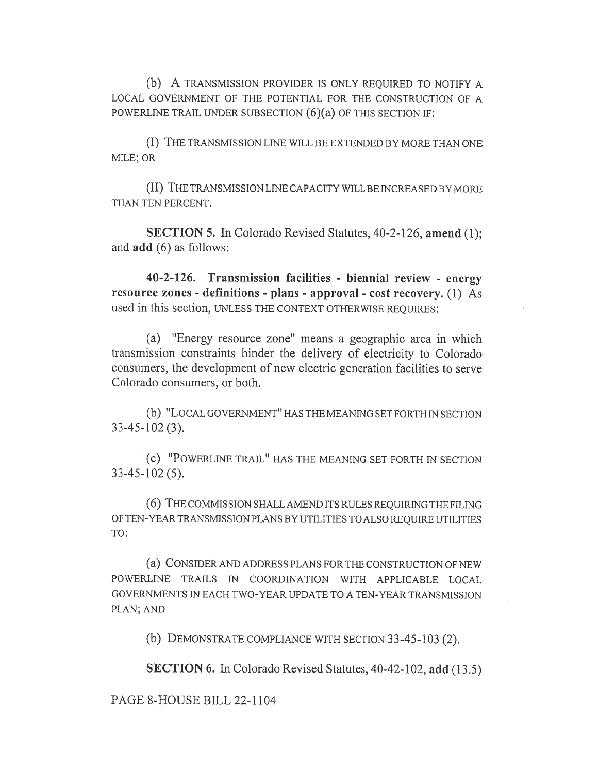(b) A TRANSMISSION PROVIDER IS ONLY REQUIRED TO NOTIFY A LOCAL GOVERNMENT OF THE POTENTIAL FOR THE CONSTRUCTION OF A POWERLINE TRAIL UNDER SUBSECTION (6)(a) OF THIS SECTION IF:

(I) THE TRANSMISSION LINE WILL BE EXTENDED BY MORE THAN ONE MILE; OR

(II) THE TRANSMISSION LINE CAPACITY WILL BE INCREASED BY MORE THAN TEN PERCENT.

SECTION 5. In Colorado Revised Statutes, 40-2-126, amend (1); and add (6) as follows:

40-2-126. Transmission facilities - biennial review - energy resource zones - definitions - plans - approval - cost recovery. (1) As used in this section, UNLESS THE CONTEXT OTHERWISE REQUIRES:

(a) "Energy resource zone" means a geographic area in which transmission constraints hinder the delivery of electricity to Colorado consumers, the development of new electric generation facilities to serve Colorado consumers, or both.

(b) "LOCAL GOVERNMENT" HAS THE MEANING SET FORTH IN SECTION 33-45-102 (3).

(c) "POWERLINE TRAIL" HAS THE MEANING SET FORTH IN SECTION 33-45-102 (5).

(6) THE COMMISSION SHALL AMEND ITS RULES REQUIRING THE FILING OF TEN-YEAR TRANSMISSION PLANS BY UTILITIES TO ALSO REQUIRE UTILITIES TO:

(a) CONSIDER AND ADDRESS PLANS FOR THE CONSTRUCTION OF NEW POWERLINE TRAILS IN COORDINATION WITH APPLICABLE LOCAL GOVERNMENTS IN EACH TWO-YEAR UPDATE TO A TEN-YEAR TRANSMISSION PLAN; AND

(b) DEMONSTRATE COMPLIANCE WITH SECTION 33-45-103 (2).

SECTION 6. In Colorado Revised Statutes, 40-42-102, add (13.5)

PAGE 8-HOUSE BILL 22-1104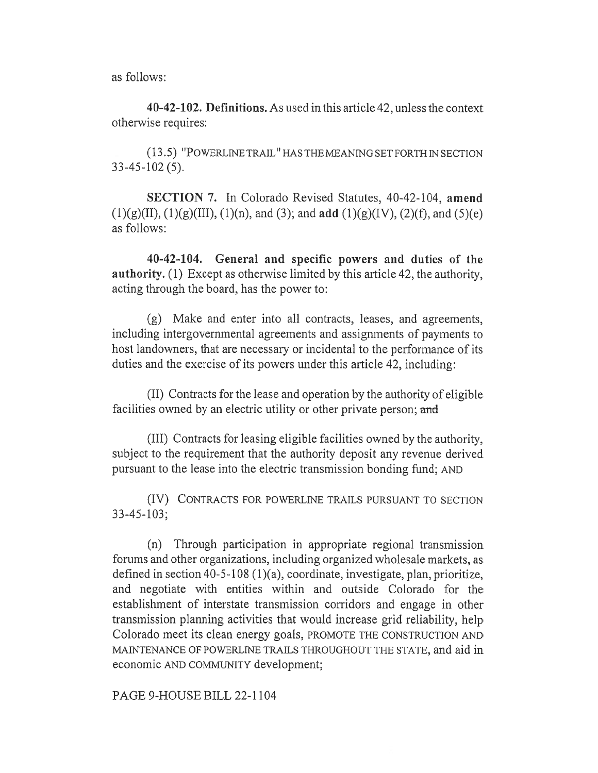as follows:

40-42-102. Definitions. As used in this article 42, unless the context otherwise requires:

(13.5) "POWERLINE TRAIL" HAS THE MEANING SET FORTH IN SECTION 33-45-102 (5).

SECTION 7. In Colorado Revised Statutes, 40-42-104, amend  $(1)(g)(II), (1)(g)(III), (1)(n), and (3); and add (1)(g)(IV), (2)(f), and (5)(e)$ as follows:

40-42-104. General and specific powers and duties of the authority. (1) Except as otherwise limited by this article 42, the authority, acting through the board, has the power to:

(g) Make and enter into all contracts, leases, and agreements, including intergovernmental agreements and assignments of payments to host landowners, that are necessary or incidental to the performance of its duties and the exercise of its powers under this article 42, including:

(II) Contracts for the lease and operation by the authority of eligible facilities owned by an electric utility or other private person; and

(III) Contracts for leasing eligible facilities owned by the authority, subject to the requirement that the authority deposit any revenue derived pursuant to the lease into the electric transmission bonding fund; AND

(IV) CONTRACTS FOR POWERLINE TRAILS PURSUANT TO SECTION 33-45-103;

(n) Through participation in appropriate regional transmission forums and other organizations, including organized wholesale markets, as defined in section 40-5-108 (1)(a), coordinate, investigate, plan, prioritize, and negotiate with entities within and outside Colorado for the establishment of interstate transmission corridors and engage in other transmission planning activities that would increase grid reliability, help Colorado meet its clean energy goals, PROMOTE THE CONSTRUCTION AND MAINTENANCE OF POWERLINE TRAILS THROUGHOUT THE STATE, and aid in economic AND COMMUNITY development;

PAGE 9-HOUSE BILL 22-1104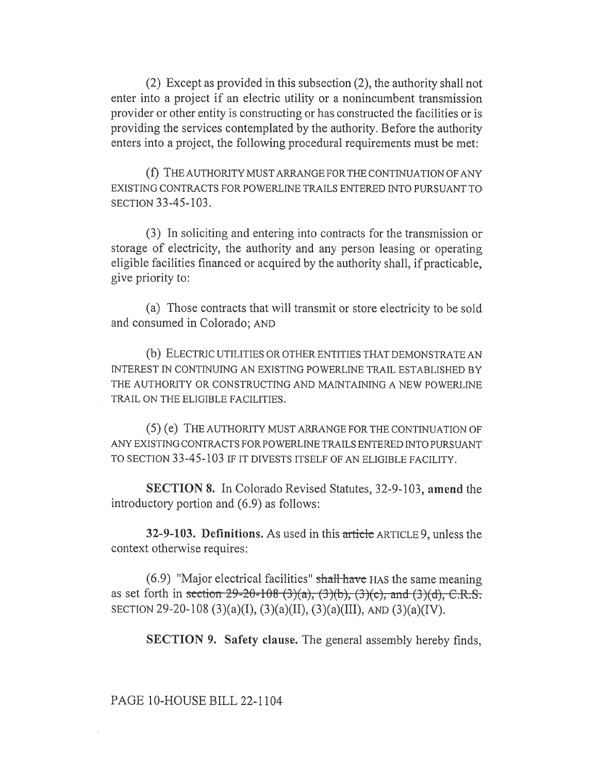(2) Except as provided in this subsection (2), the authority shall not enter into a project if an electric utility or a nonincumbent transmission provider or other entity is constructing or has constructed the facilities or is providing the services contemplated by the authority. Before the authority enters into a project, the following procedural requirements must be met:

(f) THE AUTHORITY MUST ARRANGE FOR THE CONTINUATION OF ANY EXISTING CONTRACTS FOR POWERLINE TRAILS ENTERED INTO PURSUANT TO SECTION 33-45-103.

(3) In soliciting and entering into contracts for the transmission or storage of electricity, the authority and any person leasing or operating eligible facilities financed or acquired by the authority shall, if practicable, give priority to:

(a) Those contracts that will transmit or store electricity to be sold and consumed in Colorado; AND

(b) ELECTRIC UTILITIES OR OTHER ENTITIES THAT DEMONSTRATE AN INTEREST IN CONTINUING AN EXISTING POWERLINE TRAIL ESTABLISHED BY THE AUTHORITY OR CONSTRUCTING AND MAINTAINING A NEW POWERLINE TRAIL ON THE ELIGIBLE FACILITIES.

(5) (e) THE AUTHORITY MUST ARRANGE FOR THE CONTINUATION OF ANY EXISTING CONTRACTS FOR POWERLINE TRAILS ENTERED INTO PURSUANT TO SECTION 33-45-103 IF IT DIVESTS ITSELF OF AN ELIGIBLE FACILITY.

SECTION 8. In Colorado Revised Statutes, 32-9-103, amend the introductory portion and (6.9) as follows:

32-9-103. Definitions. As used in this article ARTICLE 9, unless the context otherwise requires:

 $(6.9)$  "Major electrical facilities" shall have HAS the same meaning as set forth in section 29-20-108 (3)(a), (3)(b), (3)(c), and (3)(d), C.R.S. SECTION 29-20-108 (3)(a)(I), (3)(a)(II), (3)(a)(III), AND (3)(a)(IV).

SECTION 9. Safety clause. The general assembly hereby finds,

## PAGE 10-HOUSE BILL 22-1104